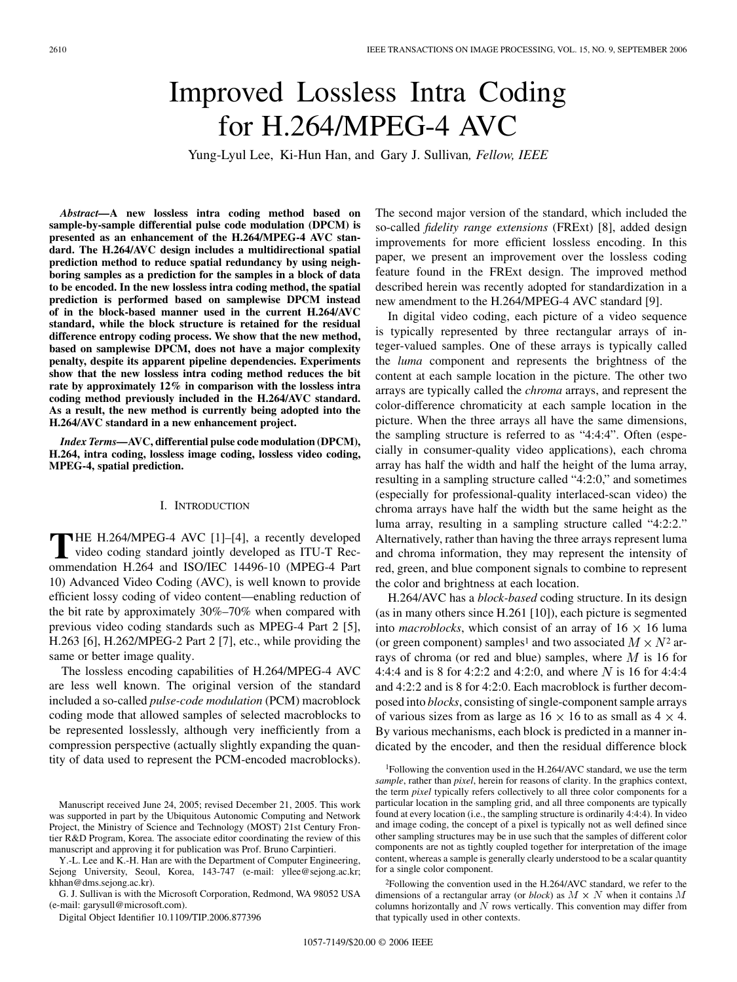# Improved Lossless Intra Coding for H.264/MPEG-4 AVC

Yung-Lyul Lee, Ki-Hun Han, and Gary J. Sullivan*, Fellow, IEEE*

*Abstract—***A new lossless intra coding method based on sample-by-sample differential pulse code modulation (DPCM) is presented as an enhancement of the H.264/MPEG-4 AVC standard. The H.264/AVC design includes a multidirectional spatial prediction method to reduce spatial redundancy by using neighboring samples as a prediction for the samples in a block of data to be encoded. In the new lossless intra coding method, the spatial prediction is performed based on samplewise DPCM instead of in the block-based manner used in the current H.264/AVC standard, while the block structure is retained for the residual difference entropy coding process. We show that the new method, based on samplewise DPCM, does not have a major complexity penalty, despite its apparent pipeline dependencies. Experiments show that the new lossless intra coding method reduces the bit rate by approximately 12% in comparison with the lossless intra coding method previously included in the H.264/AVC standard. As a result, the new method is currently being adopted into the H.264/AVC standard in a new enhancement project.**

*Index Terms—***AVC, differential pulse code modulation (DPCM), H.264, intra coding, lossless image coding, lossless video coding, MPEG-4, spatial prediction.**

#### I. INTRODUCTION

THE H.264/MPEG-4 AVC [1]-[4], a recently developed<br>video coding standard jointly developed as ITU-T Rec-<br>commendation H.264 and ISO/JEC 14406 10 (MPEG 4 Pert ommendation H.264 and ISO/IEC 14496-10 (MPEG-4 Part 10) Advanced Video Coding (AVC), is well known to provide efficient lossy coding of video content—enabling reduction of the bit rate by approximately 30%–70% when compared with previous video coding standards such as MPEG-4 Part 2 [\[5\]](#page-4-0), H.263 [\[6\],](#page-4-0) H.262/MPEG-2 Part 2 [\[7\],](#page-4-0) etc., while providing the same or better image quality.

The lossless encoding capabilities of H.264/MPEG-4 AVC are less well known. The original version of the standard included a so-called *pulse-code modulation* (PCM) macroblock coding mode that allowed samples of selected macroblocks to be represented losslessly, although very inefficiently from a compression perspective (actually slightly expanding the quantity of data used to represent the PCM-encoded macroblocks).

Y.-L. Lee and K.-H. Han are with the Department of Computer Engineering, Sejong University, Seoul, Korea, 143-747 (e-mail: yllee@sejong.ac.kr; khhan@dms.sejong.ac.kr).

G. J. Sullivan is with the Microsoft Corporation, Redmond, WA 98052 USA (e-mail: garysull@microsoft.com).

Digital Object Identifier 10.1109/TIP.2006.877396

The second major version of the standard, which included the so-called *fidelity range extensions* (FRExt) [\[8\],](#page-4-0) added design improvements for more efficient lossless encoding. In this paper, we present an improvement over the lossless coding feature found in the FRExt design. The improved method described herein was recently adopted for standardization in a new amendment to the H.264/MPEG-4 AVC standard [\[9\].](#page-4-0)

In digital video coding, each picture of a video sequence is typically represented by three rectangular arrays of integer-valued samples. One of these arrays is typically called the *luma* component and represents the brightness of the content at each sample location in the picture. The other two arrays are typically called the *chroma* arrays, and represent the color-difference chromaticity at each sample location in the picture. When the three arrays all have the same dimensions, the sampling structure is referred to as "4:4:4". Often (especially in consumer-quality video applications), each chroma array has half the width and half the height of the luma array, resulting in a sampling structure called "4:2:0," and sometimes (especially for professional-quality interlaced-scan video) the chroma arrays have half the width but the same height as the luma array, resulting in a sampling structure called "4:2:2." Alternatively, rather than having the three arrays represent luma and chroma information, they may represent the intensity of red, green, and blue component signals to combine to represent the color and brightness at each location.

H.264/AVC has a *block-based* coding structure. In its design (as in many others since H.261 [\[10\]\)](#page-4-0), each picture is segmented into *macroblocks*, which consist of an array of  $16 \times 16$  luma (or green component) samples<sup>1</sup> and two associated  $M \times N^2$  arrays of chroma (or red and blue) samples, where  $M$  is 16 for 4:4:4 and is 8 for 4:2:2 and 4:2:0, and where  $N$  is 16 for 4:4:4 and 4:2:2 and is 8 for 4:2:0. Each macroblock is further decomposed into *blocks*, consisting of single-component sample arrays of various sizes from as large as  $16 \times 16$  to as small as  $4 \times 4$ . By various mechanisms, each block is predicted in a manner indicated by the encoder, and then the residual difference block

Manuscript received June 24, 2005; revised December 21, 2005. This work was supported in part by the Ubiquitous Autonomic Computing and Network Project, the Ministry of Science and Technology (MOST) 21st Century Frontier R&D Program, Korea. The associate editor coordinating the review of this manuscript and approving it for publication was Prof. Bruno Carpintieri.

<sup>&</sup>lt;sup>1</sup>Following the convention used in the H.264/AVC standard, we use the term *sample*, rather than *pixel*, herein for reasons of clarity. In the graphics context, the term *pixel* typically refers collectively to all three color components for a particular location in the sampling grid, and all three components are typically found at every location (i.e., the sampling structure is ordinarily 4:4:4). In video and image coding, the concept of a pixel is typically not as well defined since other sampling structures may be in use such that the samples of different color components are not as tightly coupled together for interpretation of the image content, whereas a sample is generally clearly understood to be a scalar quantity for a single color component.

 $2$ Following the convention used in the H.264/AVC standard, we refer to the dimensions of a rectangular array (or *block*) as  $M \times N$  when it contains M columns horizontally and  $N$  rows vertically. This convention may differ from that typically used in other contexts.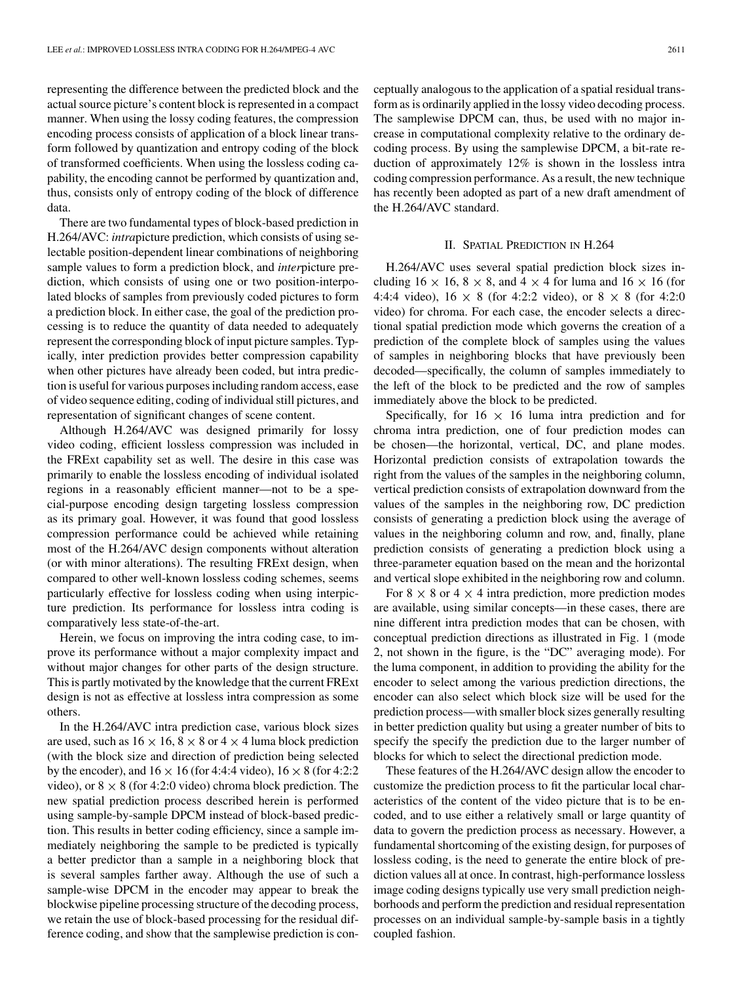representing the difference between the predicted block and the actual source picture's content block is represented in a compact manner. When using the lossy coding features, the compression encoding process consists of application of a block linear transform followed by quantization and entropy coding of the block of transformed coefficients. When using the lossless coding capability, the encoding cannot be performed by quantization and, thus, consists only of entropy coding of the block of difference data.

There are two fundamental types of block-based prediction in H.264/AVC: *intra*picture prediction, which consists of using selectable position-dependent linear combinations of neighboring sample values to form a prediction block, and *inter*picture prediction, which consists of using one or two position-interpolated blocks of samples from previously coded pictures to form a prediction block. In either case, the goal of the prediction processing is to reduce the quantity of data needed to adequately represent the corresponding block of input picture samples. Typically, inter prediction provides better compression capability when other pictures have already been coded, but intra prediction is useful for various purposes including random access, ease of video sequence editing, coding of individual still pictures, and representation of significant changes of scene content.

Although H.264/AVC was designed primarily for lossy video coding, efficient lossless compression was included in the FRExt capability set as well. The desire in this case was primarily to enable the lossless encoding of individual isolated regions in a reasonably efficient manner—not to be a special-purpose encoding design targeting lossless compression as its primary goal. However, it was found that good lossless compression performance could be achieved while retaining most of the H.264/AVC design components without alteration (or with minor alterations). The resulting FRExt design, when compared to other well-known lossless coding schemes, seems particularly effective for lossless coding when using interpicture prediction. Its performance for lossless intra coding is comparatively less state-of-the-art.

Herein, we focus on improving the intra coding case, to improve its performance without a major complexity impact and without major changes for other parts of the design structure. This is partly motivated by the knowledge that the current FRExt design is not as effective at lossless intra compression as some others.

In the H.264/AVC intra prediction case, various block sizes are used, such as  $16 \times 16$ ,  $8 \times 8$  or  $4 \times 4$  luma block prediction (with the block size and direction of prediction being selected by the encoder), and  $16 \times 16$  (for 4:4:4 video),  $16 \times 8$  (for 4:2:2) video), or  $8 \times 8$  (for 4:2:0 video) chroma block prediction. The new spatial prediction process described herein is performed using sample-by-sample DPCM instead of block-based prediction. This results in better coding efficiency, since a sample immediately neighboring the sample to be predicted is typically a better predictor than a sample in a neighboring block that is several samples farther away. Although the use of such a sample-wise DPCM in the encoder may appear to break the blockwise pipeline processing structure of the decoding process, we retain the use of block-based processing for the residual difference coding, and show that the samplewise prediction is conceptually analogous to the application of a spatial residual transform as is ordinarily applied in the lossy video decoding process. The samplewise DPCM can, thus, be used with no major increase in computational complexity relative to the ordinary decoding process. By using the samplewise DPCM, a bit-rate reduction of approximately 12% is shown in the lossless intra coding compression performance. As a result, the new technique has recently been adopted as part of a new draft amendment of the H.264/AVC standard.

### II. SPATIAL PREDICTION IN H.264

H.264/AVC uses several spatial prediction block sizes including  $16 \times 16$ ,  $8 \times 8$ , and  $4 \times 4$  for luma and  $16 \times 16$  (for 4:4:4 video),  $16 \times 8$  (for 4:2:2 video), or  $8 \times 8$  (for 4:2:0) video) for chroma. For each case, the encoder selects a directional spatial prediction mode which governs the creation of a prediction of the complete block of samples using the values of samples in neighboring blocks that have previously been decoded—specifically, the column of samples immediately to the left of the block to be predicted and the row of samples immediately above the block to be predicted.

Specifically, for  $16 \times 16$  luma intra prediction and for chroma intra prediction, one of four prediction modes can be chosen—the horizontal, vertical, DC, and plane modes. Horizontal prediction consists of extrapolation towards the right from the values of the samples in the neighboring column, vertical prediction consists of extrapolation downward from the values of the samples in the neighboring row, DC prediction consists of generating a prediction block using the average of values in the neighboring column and row, and, finally, plane prediction consists of generating a prediction block using a three-parameter equation based on the mean and the horizontal and vertical slope exhibited in the neighboring row and column.

For 8  $\times$  8 or 4  $\times$  4 intra prediction, more prediction modes are available, using similar concepts—in these cases, there are nine different intra prediction modes that can be chosen, with conceptual prediction directions as illustrated in [Fig. 1](#page-2-0) (mode 2, not shown in the figure, is the "DC" averaging mode). For the luma component, in addition to providing the ability for the encoder to select among the various prediction directions, the encoder can also select which block size will be used for the prediction process—with smaller block sizes generally resulting in better prediction quality but using a greater number of bits to specify the specify the prediction due to the larger number of blocks for which to select the directional prediction mode.

These features of the H.264/AVC design allow the encoder to customize the prediction process to fit the particular local characteristics of the content of the video picture that is to be encoded, and to use either a relatively small or large quantity of data to govern the prediction process as necessary. However, a fundamental shortcoming of the existing design, for purposes of lossless coding, is the need to generate the entire block of prediction values all at once. In contrast, high-performance lossless image coding designs typically use very small prediction neighborhoods and perform the prediction and residual representation processes on an individual sample-by-sample basis in a tightly coupled fashion.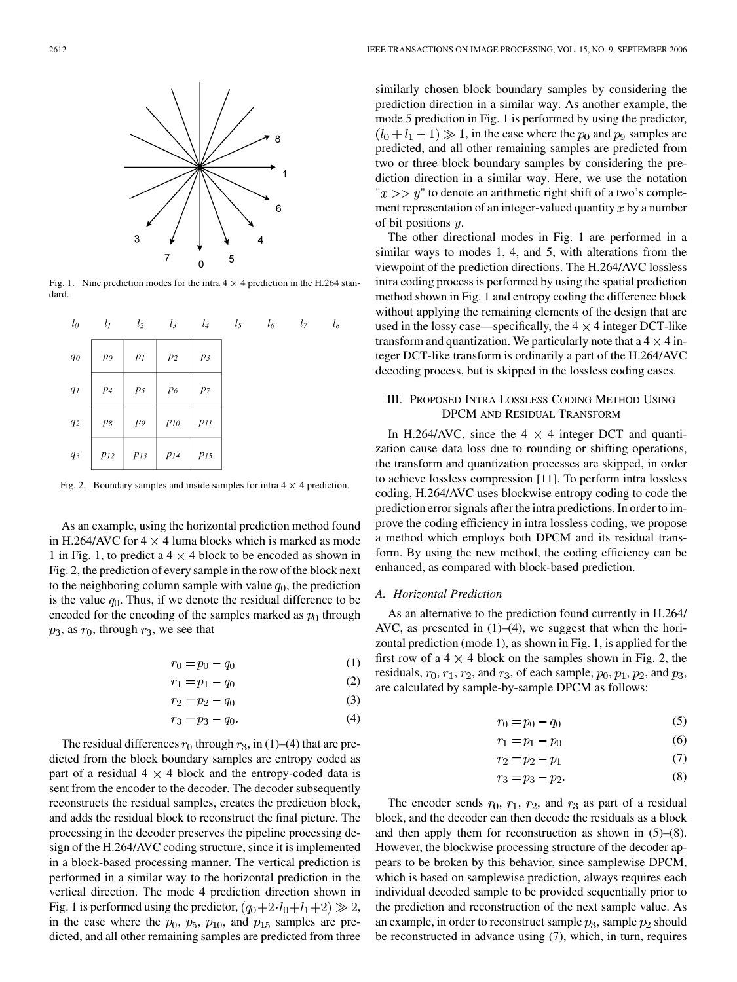<span id="page-2-0"></span>

Fig. 1. Nine prediction modes for the intra  $4 \times 4$  prediction in the H.264 standard.

| $l_0$ | $l_I$       | l <sub>2</sub>      | $l_3$            | $l_4$       | $l_5$ | $l_6$ | $l_7$ | $l_8$ |
|-------|-------------|---------------------|------------------|-------------|-------|-------|-------|-------|
| $q_0$ | $p_0$       | $p_{\mathfrak{l}}$  | $\mathfrak{p}_2$ | $p_3$       |       |       |       |       |
| $q_I$ | $p_4$       | $p_{\it 5}$         | $p_{\rm 6}$      | $p_{\rm 7}$ |       |       |       |       |
| $q_2$ | $p_{\rm 8}$ | $p_9$               | $p_{\it 10}$     | $p_{II}$    |       |       |       |       |
| $q_3$ | $ -p_{12} $ | $\overline{p_{13}}$ | P14              | P15         |       |       |       |       |

Fig. 2. Boundary samples and inside samples for intra  $4 \times 4$  prediction.

As an example, using the horizontal prediction method found in H.264/AVC for  $4 \times 4$  luma blocks which is marked as mode 1 in Fig. 1, to predict a  $4 \times 4$  block to be encoded as shown in Fig. 2, the prediction of every sample in the row of the block next to the neighboring column sample with value  $q_0$ , the prediction is the value  $q_0$ . Thus, if we denote the residual difference to be encoded for the encoding of the samples marked as  $p_0$  through  $p_3$ , as  $r_0$ , through  $r_3$ , we see that

$$
r_0 = p_0 - q_0 \tag{1}
$$

$$
r_1 = p_1 - q_0 \tag{2}
$$

$$
r_2 = p_2 - q_0 \tag{3}
$$

$$
r_3 = p_3 - q_0. \tag{4}
$$

The residual differences  $r_0$  through  $r_3$ , in (1)–(4) that are predicted from the block boundary samples are entropy coded as part of a residual  $4 \times 4$  block and the entropy-coded data is sent from the encoder to the decoder. The decoder subsequently reconstructs the residual samples, creates the prediction block, and adds the residual block to reconstruct the final picture. The processing in the decoder preserves the pipeline processing design of the H.264/AVC coding structure, since it is implemented in a block-based processing manner. The vertical prediction is performed in a similar way to the horizontal prediction in the vertical direction. The mode 4 prediction direction shown in Fig. 1 is performed using the predictor,  $(q_0+2\cdot l_0+l_1+2) \gg 2$ , in the case where the  $p_0$ ,  $p_5$ ,  $p_{10}$ , and  $p_{15}$  samples are predicted, and all other remaining samples are predicted from three similarly chosen block boundary samples by considering the prediction direction in a similar way. As another example, the mode 5 prediction in Fig. 1 is performed by using the predictor,  $(l_0 + l_1 + 1) \gg 1$ , in the case where the  $p_0$  and  $p_9$  samples are predicted, and all other remaining samples are predicted from two or three block boundary samples by considering the prediction direction in a similar way. Here, we use the notation " $x >> y$ " to denote an arithmetic right shift of a two's complement representation of an integer-valued quantity  $x$  by a number of bit positions  $y$ .

The other directional modes in Fig. 1 are performed in a similar ways to modes 1, 4, and 5, with alterations from the viewpoint of the prediction directions. The H.264/AVC lossless intra coding process is performed by using the spatial prediction method shown in Fig. 1 and entropy coding the difference block without applying the remaining elements of the design that are used in the lossy case—specifically, the  $4 \times 4$  integer DCT-like transform and quantization. We particularly note that a  $4 \times 4$  integer DCT-like transform is ordinarily a part of the H.264/AVC decoding process, but is skipped in the lossless coding cases.

## III. PROPOSED INTRA LOSSLESS CODING METHOD USING DPCM AND RESIDUAL TRANSFORM

In H.264/AVC, since the  $4 \times 4$  integer DCT and quantization cause data loss due to rounding or shifting operations, the transform and quantization processes are skipped, in order to achieve lossless compression [\[11\].](#page-4-0) To perform intra lossless coding, H.264/AVC uses blockwise entropy coding to code the prediction error signals after the intra predictions. In order to improve the coding efficiency in intra lossless coding, we propose a method which employs both DPCM and its residual transform. By using the new method, the coding efficiency can be enhanced, as compared with block-based prediction.

## *A. Horizontal Prediction*

As an alternative to the prediction found currently in H.264/ AVC, as presented in  $(1)$ – $(4)$ , we suggest that when the horizontal prediction (mode 1), as shown in Fig. 1, is applied for the first row of a  $4 \times 4$  block on the samples shown in Fig. 2, the residuals,  $r_0$ ,  $r_1$ ,  $r_2$ , and  $r_3$ , of each sample,  $p_0$ ,  $p_1$ ,  $p_2$ , and  $p_3$ , are calculated by sample-by-sample DPCM as follows:

$$
r_0 = p_0 - q_0 \tag{5}
$$

(6)  $r_1 = p_1 - p_0$ 

$$
r_2 = p_2 - p_1 \tag{7}
$$

$$
r_3 = p_3 - p_2. \tag{8}
$$

The encoder sends  $r_0$ ,  $r_1$ ,  $r_2$ , and  $r_3$  as part of a residual block, and the decoder can then decode the residuals as a block and then apply them for reconstruction as shown in  $(5)$ – $(8)$ . However, the blockwise processing structure of the decoder appears to be broken by this behavior, since samplewise DPCM, which is based on samplewise prediction, always requires each individual decoded sample to be provided sequentially prior to the prediction and reconstruction of the next sample value. As an example, in order to reconstruct sample  $p_3$ , sample  $p_2$  should be reconstructed in advance using (7), which, in turn, requires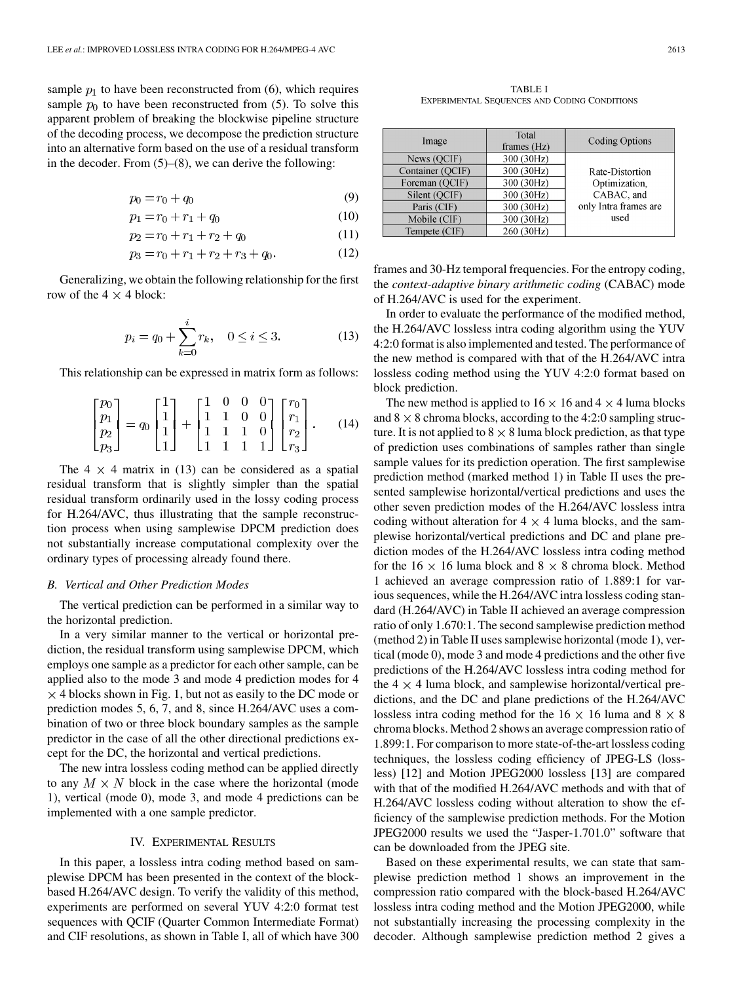sample  $p_1$  to have been reconstructed from [\(6\),](#page-2-0) which requires sample  $p_0$  to have been reconstructed from [\(5\)](#page-2-0). To solve this apparent problem of breaking the blockwise pipeline structure of the decoding process, we decompose the prediction structure into an alternative form based on the use of a residual transform in the decoder. From  $(5)$ – $(8)$ , we can derive the following:

$$
p_0 = r_0 + q_0 \tag{9}
$$

$$
p_1 = r_0 + r_1 + q_0 \tag{10}
$$

$$
p_2 = r_0 + r_1 + r_2 + q_0 \tag{11}
$$

$$
p_3 = r_0 + r_1 + r_2 + r_3 + q_0. \tag{12}
$$

Generalizing, we obtain the following relationship for the first row of the  $4 \times 4$  block:

$$
p_i = q_0 + \sum_{k=0}^{i} r_k, \quad 0 \le i \le 3.
$$
 (13)

This relationship can be expressed in matrix form as follows:

$$
\begin{bmatrix} p_0 \\ p_1 \\ p_2 \\ p_3 \end{bmatrix} = q_0 \begin{bmatrix} 1 \\ 1 \\ 1 \\ 1 \end{bmatrix} + \begin{bmatrix} 1 & 0 & 0 & 0 \\ 1 & 1 & 0 & 0 \\ 1 & 1 & 1 & 0 \\ 1 & 1 & 1 & 1 \end{bmatrix} \begin{bmatrix} r_0 \\ r_1 \\ r_2 \\ r_3 \end{bmatrix}.
$$
 (14)

The  $4 \times 4$  matrix in (13) can be considered as a spatial residual transform that is slightly simpler than the spatial residual transform ordinarily used in the lossy coding process for H.264/AVC, thus illustrating that the sample reconstruction process when using samplewise DPCM prediction does not substantially increase computational complexity over the ordinary types of processing already found there.

#### *B. Vertical and Other Prediction Modes*

The vertical prediction can be performed in a similar way to the horizontal prediction.

In a very similar manner to the vertical or horizontal prediction, the residual transform using samplewise DPCM, which employs one sample as a predictor for each other sample, can be applied also to the mode 3 and mode 4 prediction modes for 4  $\times$  4 blocks shown in [Fig. 1](#page-2-0), but not as easily to the DC mode or prediction modes 5, 6, 7, and 8, since H.264/AVC uses a combination of two or three block boundary samples as the sample predictor in the case of all the other directional predictions except for the DC, the horizontal and vertical predictions.

The new intra lossless coding method can be applied directly to any  $M \times N$  block in the case where the horizontal (mode 1), vertical (mode 0), mode 3, and mode 4 predictions can be implemented with a one sample predictor.

#### IV. EXPERIMENTAL RESULTS

In this paper, a lossless intra coding method based on samplewise DPCM has been presented in the context of the blockbased H.264/AVC design. To verify the validity of this method, experiments are performed on several YUV 4:2:0 format test sequences with QCIF (Quarter Common Intermediate Format) and CIF resolutions, as shown in Table I, all of which have 300

TABLE I EXPERIMENTAL SEQUENCES AND CODING CONDITIONS

| Image            | Total<br>frames $(Hz)$ | Coding Options        |  |  |
|------------------|------------------------|-----------------------|--|--|
| News (QCIF)      | 300 (30Hz)             |                       |  |  |
| Container (QCIF) | 300 (30Hz)             | Rate-Distortion       |  |  |
| Foreman (QCIF)   | 300 (30Hz)             | Optimization,         |  |  |
| Silent (QCIF)    | 300 (30Hz)             | CABAC, and            |  |  |
| Paris (CIF)      | 300 (30Hz)             | only Intra frames are |  |  |
| Mobile (CIF)     | 300 (30Hz)             | used                  |  |  |
| Tempete (CIF)    | 260 (30Hz)             |                       |  |  |

frames and 30-Hz temporal frequencies. For the entropy coding, the *context-adaptive binary arithmetic coding* (CABAC) mode

of H.264/AVC is used for the experiment. In order to evaluate the performance of the modified method, the H.264/AVC lossless intra coding algorithm using the YUV 4:2:0 format is also implemented and tested. The performance of the new method is compared with that of the H.264/AVC intra

lossless coding method using the YUV 4:2:0 format based on

block prediction. The new method is applied to  $16 \times 16$  and  $4 \times 4$  luma blocks and  $8 \times 8$  chroma blocks, according to the 4:2:0 sampling structure. It is not applied to  $8 \times 8$  luma block prediction, as that type of prediction uses combinations of samples rather than single sample values for its prediction operation. The first samplewise prediction method (marked method 1) in [Table II](#page-4-0) uses the presented samplewise horizontal/vertical predictions and uses the other seven prediction modes of the H.264/AVC lossless intra coding without alteration for  $4 \times 4$  luma blocks, and the samplewise horizontal/vertical predictions and DC and plane prediction modes of the H.264/AVC lossless intra coding method for the 16  $\times$  16 luma block and 8  $\times$  8 chroma block. Method 1 achieved an average compression ratio of 1.889:1 for various sequences, while the H.264/AVC intra lossless coding standard (H.264/AVC) in [Table II](#page-4-0) achieved an average compression ratio of only 1.670:1. The second samplewise prediction method (method 2) in [Table II](#page-4-0) uses samplewise horizontal (mode 1), vertical (mode 0), mode 3 and mode 4 predictions and the other five predictions of the H.264/AVC lossless intra coding method for the  $4 \times 4$  luma block, and samplewise horizontal/vertical predictions, and the DC and plane predictions of the H.264/AVC lossless intra coding method for the  $16 \times 16$  luma and  $8 \times 8$ chroma blocks. Method 2 shows an average compression ratio of 1.899:1. For comparison to more state-of-the-art lossless coding techniques, the lossless coding efficiency of JPEG-LS (lossless) [\[12\]](#page-4-0) and Motion JPEG2000 lossless [\[13\]](#page-4-0) are compared with that of the modified H.264/AVC methods and with that of H.264/AVC lossless coding without alteration to show the efficiency of the samplewise prediction methods. For the Motion JPEG2000 results we used the "Jasper-1.701.0" software that can be downloaded from the JPEG site.

Based on these experimental results, we can state that samplewise prediction method 1 shows an improvement in the compression ratio compared with the block-based H.264/AVC lossless intra coding method and the Motion JPEG2000, while not substantially increasing the processing complexity in the decoder. Although samplewise prediction method 2 gives a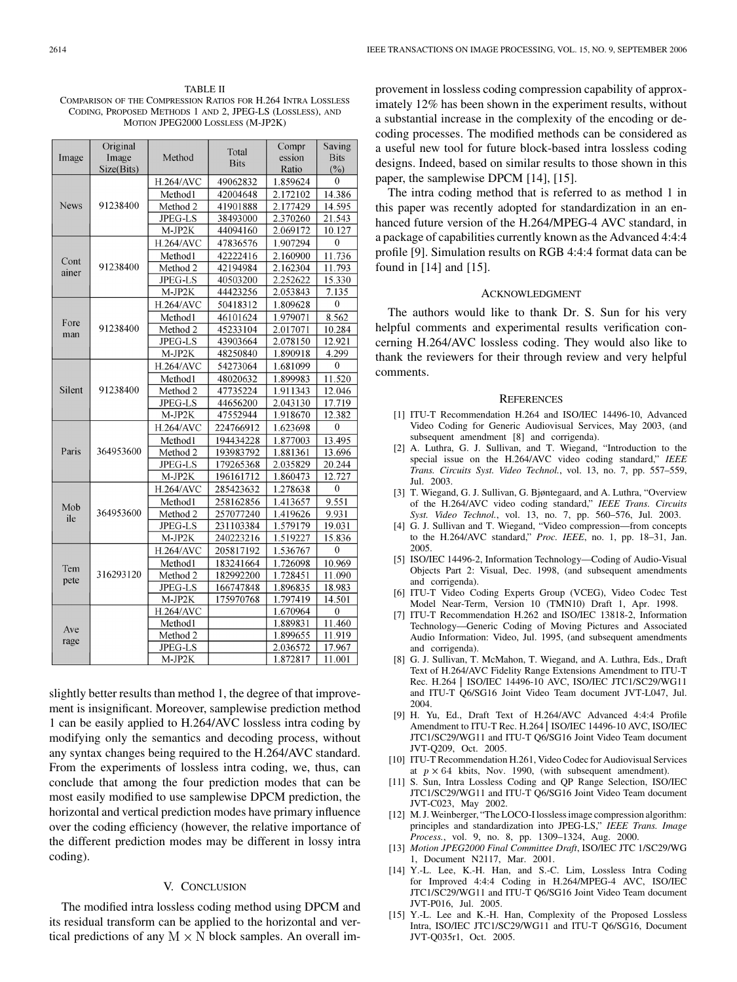<span id="page-4-0"></span>TABLE II COMPARISON OF THE COMPRESSION RATIOS FOR H.264 INTRA LOSSLESS CODING, PROPOSED METHODS 1 AND 2, JPEG-LS (LOSSLESS), AND MOTION JPEG2000 LOSSLESS (M-JP2K)

|               | Original   |                     | Total       | Compr    | Saving         |
|---------------|------------|---------------------|-------------|----------|----------------|
| Image         | Image      | Method              | <b>Bits</b> | ession   | <b>Bits</b>    |
|               | Size(Bits) |                     |             | Ratio    | (%)            |
|               |            | <b>H.264/AVC</b>    | 49062832    | 1.859624 | $\theta$       |
|               |            | Method1             | 42004648    | 2.172102 | 14.386         |
| <b>News</b>   | 91238400   | Method 2            | 41901888    | 2.177429 | 14.595         |
|               |            | JPEG-LS             | 38493000    | 2.370260 | 21.543         |
|               |            | M-JP2K              | 44094160    | 2.069172 | 10.127         |
| Cont<br>ainer |            | <b>H.264/AVC</b>    | 47836576    | 1.907294 | $\theta$       |
|               |            | Method1             | 42222416    | 2.160900 | 11.736         |
|               | 91238400   | Method 2            | 42194984    | 2.162304 | 11.793         |
|               |            | JPEG-LS             | 40503200    | 2.252622 | 15.330         |
|               |            | M-JP2K              | 44423256    | 2.053843 | 7.135          |
|               |            | <b>H.264/AVC</b>    | 50418312    | 1.809628 | $\theta$       |
| Fore          |            | Method1             | 46101624    | 1.979071 | 8.562          |
| man           | 91238400   | Method 2            | 45233104    | 2.017071 | 10.284         |
|               |            | JPEG-LS             | 43903664    | 2.078150 | 12.921         |
|               |            | M-JP2K              | 48250840    | 1.890918 | 4.299          |
|               | 91238400   | <b>H.264/AVC</b>    | 54273064    | 1.681099 | 0              |
|               |            | Method1             | 48020632    | 1.899983 | 11.520         |
| Silent        |            | Method <sub>2</sub> | 47735224    | 1.911343 | 12.046         |
|               |            | JPEG-LS             | 44656200    | 2.043130 | 17.719         |
|               |            | M-JP2K              | 47552944    | 1.918670 | 12.382         |
|               |            | <b>H.264/AVC</b>    | 224766912   | 1.623698 | $\mathbf{0}$   |
|               |            | Method1             | 194434228   | 1.877003 | 13.495         |
| Paris         | 364953600  | Method <sub>2</sub> | 193983792   | 1.881361 | 13.696         |
|               |            | <b>JPEG-LS</b>      | 179265368   | 2.035829 | 20.244         |
|               |            | M-JP2K              | 196161712   | 1.860473 | 12.727         |
|               |            | <b>H.264/AVC</b>    | 285423632   | 1.278638 | $\theta$       |
| Mob           |            | Method1             | 258162856   | 1.413657 | 9.551          |
| ile           | 364953600  | Method 2            | 257077240   | 1.419626 | 9.931          |
|               |            | JPEG-LS             | 231103384   | 1.579179 | 19.031         |
|               |            | M-JP2K              | 240223216   | 1.519227 | 15.836         |
|               |            | <b>H.264/AVC</b>    | 205817192   | 1.536767 | $\overline{0}$ |
| Tem           |            | Method1             | 183241664   | 1.726098 | 10.969         |
| pete          | 316293120  | Method <sub>2</sub> | 182992200   | 1.728451 | 11.090         |
|               |            | <b>JPEG-LS</b>      | 166747848   | 1.896835 | 18.983         |
|               |            | M-JP2K              | 175970768   | 1.797419 | 14.501         |
|               |            | <b>H.264/AVC</b>    |             | 1.670964 | $\theta$       |
| Ave           |            | Method1             |             | 1.889831 | 11.460         |
| rage          |            | Method <sub>2</sub> |             | 1.899655 | 11.919         |
|               |            | JPEG-LS             |             | 2.036572 | 17.967         |
|               |            | M-JP2K              |             | 1.872817 | 11.001         |

slightly better results than method 1, the degree of that improvement is insignificant. Moreover, samplewise prediction method 1 can be easily applied to H.264/AVC lossless intra coding by modifying only the semantics and decoding process, without any syntax changes being required to the H.264/AVC standard. From the experiments of lossless intra coding, we, thus, can conclude that among the four prediction modes that can be most easily modified to use samplewise DPCM prediction, the horizontal and vertical prediction modes have primary influence over the coding efficiency (however, the relative importance of the different prediction modes may be different in lossy intra coding).

## V. CONCLUSION

The modified intra lossless coding method using DPCM and its residual transform can be applied to the horizontal and vertical predictions of any  $M \times N$  block samples. An overall improvement in lossless coding compression capability of approximately 12% has been shown in the experiment results, without a substantial increase in the complexity of the encoding or decoding processes. The modified methods can be considered as a useful new tool for future block-based intra lossless coding designs. Indeed, based on similar results to those shown in this paper, the samplewise DPCM [14], [15].

The intra coding method that is referred to as method 1 in this paper was recently adopted for standardization in an enhanced future version of the H.264/MPEG-4 AVC standard, in a package of capabilities currently known as the Advanced 4:4:4 profile [9]. Simulation results on RGB 4:4:4 format data can be found in [14] and [15].

#### ACKNOWLEDGMENT

The authors would like to thank Dr. S. Sun for his very helpful comments and experimental results verification concerning H.264/AVC lossless coding. They would also like to thank the reviewers for their through review and very helpful comments.

#### **REFERENCES**

- [1] ITU-T Recommendation H.264 and ISO/IEC 14496-10, Advanced Video Coding for Generic Audiovisual Services, May 2003, (and subsequent amendment [8] and corrigenda).
- [2] A. Luthra, G. J. Sullivan, and T. Wiegand, "Introduction to the special issue on the H.264/AVC video coding standard," *IEEE Trans. Circuits Syst. Video Technol.*, vol. 13, no. 7, pp. 557–559, Jul. 2003.
- [3] T. Wiegand, G. J. Sullivan, G. Bjøntegaard, and A. Luthra, "Overview of the H.264/AVC video coding standard," *IEEE Trans. Circuits Syst. Video Technol.*, vol. 13, no. 7, pp. 560–576, Jul. 2003.
- [4] G. J. Sullivan and T. Wiegand, "Video compression—from concepts to the H.264/AVC standard," *Proc. IEEE*, no. 1, pp. 18–31, Jan. 2005.
- [5] ISO/IEC 14496-2, Information Technology—Coding of Audio-Visual Objects Part 2: Visual, Dec. 1998, (and subsequent amendments and corrigenda).
- [6] ITU-T Video Coding Experts Group (VCEG), Video Codec Test Model Near-Term, Version 10 (TMN10) Draft 1, Apr. 1998.
- [7] ITU-T Recommendation H.262 and ISO/IEC 13818-2, Information Technology—Generic Coding of Moving Pictures and Associated Audio Information: Video, Jul. 1995, (and subsequent amendments and corrigenda).
- [8] G. J. Sullivan, T. McMahon, T. Wiegand, and A. Luthra, Eds., Draft Text of H.264/AVC Fidelity Range Extensions Amendment to ITU-T Rec. H.264 j ISO/IEC 14496-10 AVC, ISO/IEC JTC1/SC29/WG11 and ITU-T Q6/SG16 Joint Video Team document JVT-L047, Jul. 2004.
- [9] H. Yu, Ed., Draft Text of H.264/AVC Advanced 4:4:4 Profile Amendment to ITU-T Rec. H.264 | ISO/IEC 14496-10 AVC, ISO/IEC JTC1/SC29/WG11 and ITU-T Q6/SG16 Joint Video Team document JVT-Q209, Oct. 2005.
- [10] ITU-T Recommendation H.261, Video Codec for Audiovisual Services at  $p \times 64$  kbits, Nov. 1990, (with subsequent amendment).
- [11] S. Sun, Intra Lossless Coding and QP Range Selection, ISO/IEC JTC1/SC29/WG11 and ITU-T Q6/SG16 Joint Video Team document JVT-C023, May 2002.
- [12] M. J. Weinberger, "The LOCO-I lossless image compression algorithm: principles and standardization into JPEG-LS," *IEEE Trans. Image Process.*, vol. 9, no. 8, pp. 1309–1324, Aug. 2000.
- [13] *Motion JPEG2000 Final Committee Draft*, ISO/IEC JTC 1/SC29/WG 1, Document N2117, Mar. 2001.
- [14] Y.-L. Lee, K.-H. Han, and S.-C. Lim, Lossless Intra Coding for Improved 4:4:4 Coding in H.264/MPEG-4 AVC, ISO/IEC JTC1/SC29/WG11 and ITU-T Q6/SG16 Joint Video Team document JVT-P016, Jul. 2005.
- [15] Y.-L. Lee and K.-H. Han, Complexity of the Proposed Lossless Intra, ISO/IEC JTC1/SC29/WG11 and ITU-T Q6/SG16, Document JVT-Q035r1, Oct. 2005.